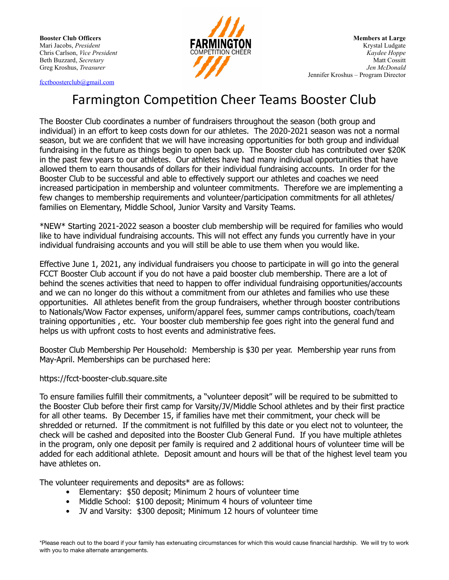

[fcctboosterclub@gmail.com](mailto:fcctboosterclub@gmail.com)

## Farmington Competition Cheer Teams Booster Club

The Booster Club coordinates a number of fundraisers throughout the season (both group and individual) in an effort to keep costs down for our athletes. The 2020-2021 season was not a normal season, but we are confident that we will have increasing opportunities for both group and individual fundraising in the future as things begin to open back up. The Booster club has contributed over \$20K in the past few years to our athletes. Our athletes have had many individual opportunities that have allowed them to earn thousands of dollars for their individual fundraising accounts. In order for the Booster Club to be successful and able to effectively support our athletes and coaches we need increased participation in membership and volunteer commitments. Therefore we are implementing a few changes to membership requirements and volunteer/participation commitments for all athletes/ families on Elementary, Middle School, Junior Varsity and Varsity Teams.

\*NEW\* Starting 2021-2022 season a booster club membership will be required for families who would like to have individual fundraising accounts. This will not effect any funds you currently have in your individual fundraising accounts and you will still be able to use them when you would like.

Effective June 1, 2021, any individual fundraisers you choose to participate in will go into the general FCCT Booster Club account if you do not have a paid booster club membership. There are a lot of behind the scenes activities that need to happen to offer individual fundraising opportunities/accounts and we can no longer do this without a commitment from our athletes and families who use these opportunities. All athletes benefit from the group fundraisers, whether through booster contributions to Nationals/Wow Factor expenses, uniform/apparel fees, summer camps contributions, coach/team training opportunities , etc. Your booster club membership fee goes right into the general fund and helps us with upfront costs to host events and administrative fees.

Booster Club Membership Per Household: Membership is \$30 per year. Membership year runs from May-April. Memberships can be purchased here:

## https://fcct-booster-club.square.site

To ensure families fulfill their commitments, a "volunteer deposit" will be required to be submitted to the Booster Club before their first camp for Varsity/JV/Middle School athletes and by their first practice for all other teams. By December 15, if families have met their commitment, your check will be shredded or returned. If the commitment is not fulfilled by this date or you elect not to volunteer, the check will be cashed and deposited into the Booster Club General Fund. If you have multiple athletes in the program, only one deposit per family is required and 2 additional hours of volunteer time will be added for each additional athlete. Deposit amount and hours will be that of the highest level team you have athletes on.

The volunteer requirements and deposits\* are as follows:

- Elementary: \$50 deposit; Minimum 2 hours of volunteer time
- Middle School: \$100 deposit; Minimum 4 hours of volunteer time
- JV and Varsity: \$300 deposit; Minimum 12 hours of volunteer time